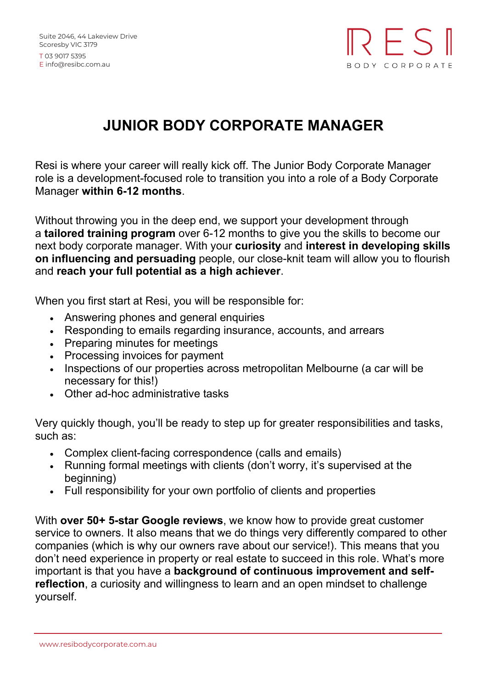

## **JUNIOR BODY CORPORATE MANAGER**

Resi is where your career will really kick off. The Junior Body Corporate Manager role is a development-focused role to transition you into a role of a Body Corporate Manager **within 6-12 months**.

Without throwing you in the deep end, we support your development through a **tailored training program** over 6-12 months to give you the skills to become our next body corporate manager. With your **curiosity** and **interest in developing skills on influencing and persuading** people, our close-knit team will allow you to flourish and **reach your full potential as a high achiever**.

When you first start at Resi, you will be responsible for:

- Answering phones and general enquiries
- Responding to emails regarding insurance, accounts, and arrears
- Preparing minutes for meetings
- Processing invoices for payment
- Inspections of our properties across metropolitan Melbourne (a car will be necessary for this!)
- Other ad-hoc administrative tasks

Very quickly though, you'll be ready to step up for greater responsibilities and tasks, such as:

- Complex client-facing correspondence (calls and emails)
- Running formal meetings with clients (don't worry, it's supervised at the beginning)
- Full responsibility for your own portfolio of clients and properties

With **over 50+ 5-star Google reviews**, we know how to provide great customer service to owners. It also means that we do things very differently compared to other companies (which is why our owners rave about our service!). This means that you don't need experience in property or real estate to succeed in this role. What's more important is that you have a **background of continuous improvement and selfreflection**, a curiosity and willingness to learn and an open mindset to challenge yourself.